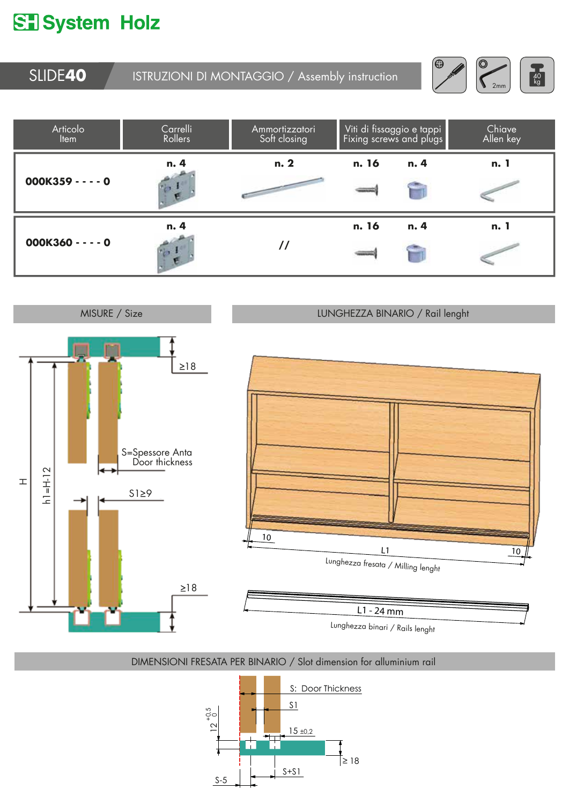## **ST** System Holz

SLIDE**40** ISTRUZIONI DI MONTAGGIO / Assembly instruction







## DIMENSIONI FRESATA PER BINARIO / Slot dimension for alluminium rail